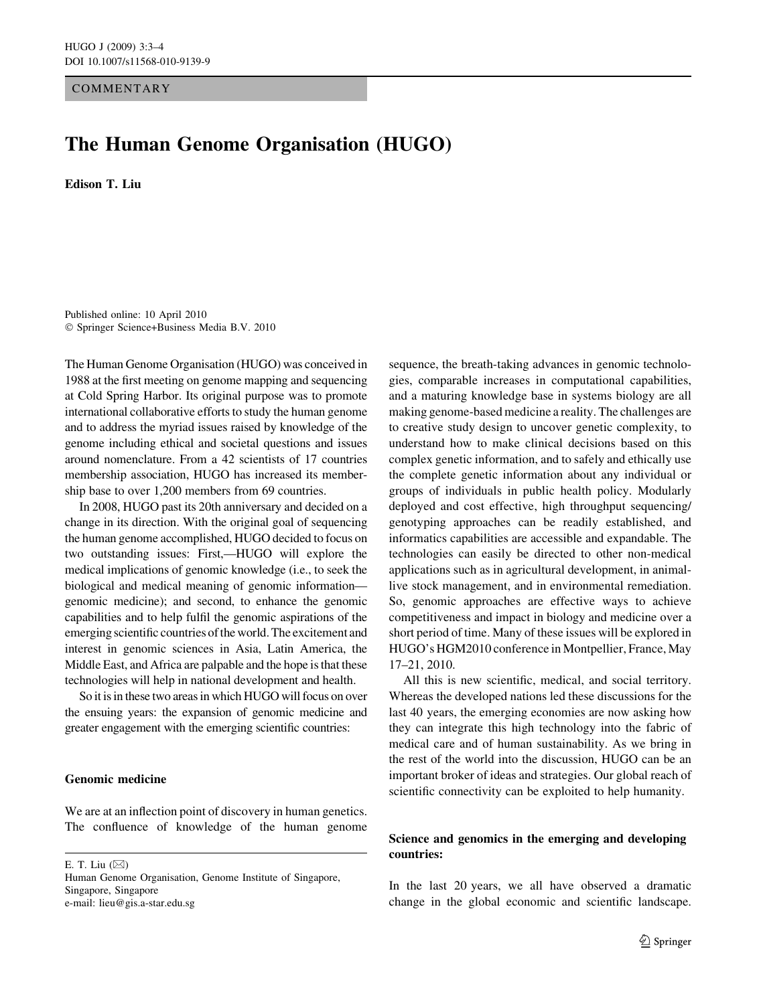**COMMENTARY** 

## The Human Genome Organisation (HUGO)

Edison T. Liu

Published online: 10 April 2010 - Springer Science+Business Media B.V. 2010

The Human Genome Organisation (HUGO) was conceived in 1988 at the first meeting on genome mapping and sequencing at Cold Spring Harbor. Its original purpose was to promote international collaborative efforts to study the human genome and to address the myriad issues raised by knowledge of the genome including ethical and societal questions and issues around nomenclature. From a 42 scientists of 17 countries membership association, HUGO has increased its membership base to over 1,200 members from 69 countries.

In 2008, HUGO past its 20th anniversary and decided on a change in its direction. With the original goal of sequencing the human genome accomplished, HUGO decided to focus on two outstanding issues: First,—HUGO will explore the medical implications of genomic knowledge (i.e., to seek the biological and medical meaning of genomic information genomic medicine); and second, to enhance the genomic capabilities and to help fulfil the genomic aspirations of the emerging scientific countries of the world. The excitement and interest in genomic sciences in Asia, Latin America, the Middle East, and Africa are palpable and the hope is that these technologies will help in national development and health.

So it is in these two areas in which HUGO will focus on over the ensuing years: the expansion of genomic medicine and greater engagement with the emerging scientific countries:

## Genomic medicine

We are at an inflection point of discovery in human genetics. The confluence of knowledge of the human genome

E. T. Liu  $(\boxtimes)$ 

Human Genome Organisation, Genome Institute of Singapore, Singapore, Singapore e-mail: lieu@gis.a-star.edu.sg

sequence, the breath-taking advances in genomic technologies, comparable increases in computational capabilities, and a maturing knowledge base in systems biology are all making genome-based medicine a reality. The challenges are to creative study design to uncover genetic complexity, to understand how to make clinical decisions based on this complex genetic information, and to safely and ethically use the complete genetic information about any individual or groups of individuals in public health policy. Modularly deployed and cost effective, high throughput sequencing/ genotyping approaches can be readily established, and informatics capabilities are accessible and expandable. The technologies can easily be directed to other non-medical applications such as in agricultural development, in animallive stock management, and in environmental remediation. So, genomic approaches are effective ways to achieve competitiveness and impact in biology and medicine over a short period of time. Many of these issues will be explored in HUGO's HGM2010 conference in Montpellier, France, May 17–21, 2010.

All this is new scientific, medical, and social territory. Whereas the developed nations led these discussions for the last 40 years, the emerging economies are now asking how they can integrate this high technology into the fabric of medical care and of human sustainability. As we bring in the rest of the world into the discussion, HUGO can be an important broker of ideas and strategies. Our global reach of scientific connectivity can be exploited to help humanity.

## Science and genomics in the emerging and developing countries:

In the last 20 years, we all have observed a dramatic change in the global economic and scientific landscape.